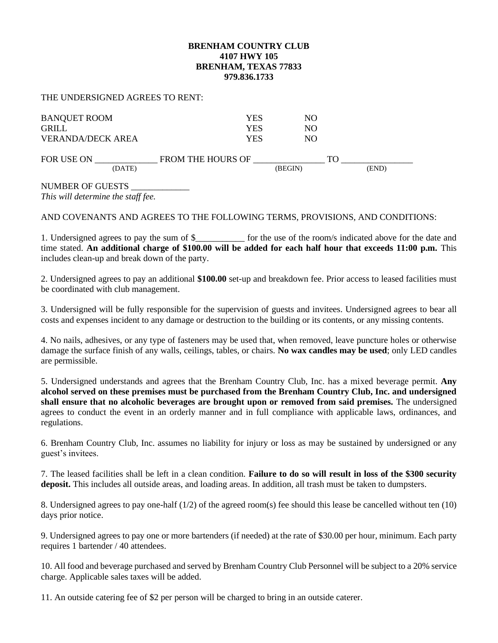## **BRENHAM COUNTRY CLUB 4107 HWY 105 BRENHAM, TEXAS 77833 979.836.1733**

## THE UNDERSIGNED AGREES TO RENT:

| <b>BANQUET ROOM</b><br><b>GRILL</b><br><b>VERANDA/DECK AREA</b> | YES<br>YES<br>YES        | NO.<br>NO.<br>NO. |             |  |
|-----------------------------------------------------------------|--------------------------|-------------------|-------------|--|
| FOR USE ON<br>(DATE)                                            | <b>FROM THE HOURS OF</b> | (BEGIN)           | TΩ<br>(END) |  |

## NUMBER OF GUESTS \_\_\_\_\_\_\_\_\_\_\_\_\_

*This will determine the staff fee.*

AND COVENANTS AND AGREES TO THE FOLLOWING TERMS, PROVISIONS, AND CONDITIONS:

1. Undersigned agrees to pay the sum of \$ for the use of the room/s indicated above for the date and time stated. **An additional charge of \$100.00 will be added for each half hour that exceeds 11:00 p.m.** This includes clean-up and break down of the party.

2. Undersigned agrees to pay an additional **\$100.00** set-up and breakdown fee. Prior access to leased facilities must be coordinated with club management.

3. Undersigned will be fully responsible for the supervision of guests and invitees. Undersigned agrees to bear all costs and expenses incident to any damage or destruction to the building or its contents, or any missing contents.

4. No nails, adhesives, or any type of fasteners may be used that, when removed, leave puncture holes or otherwise damage the surface finish of any walls, ceilings, tables, or chairs. **No wax candles may be used**; only LED candles are permissible.

5. Undersigned understands and agrees that the Brenham Country Club, Inc. has a mixed beverage permit. **Any alcohol served on these premises must be purchased from the Brenham Country Club, Inc. and undersigned shall ensure that no alcoholic beverages are brought upon or removed from said premises.** The undersigned agrees to conduct the event in an orderly manner and in full compliance with applicable laws, ordinances, and regulations.

6. Brenham Country Club, Inc. assumes no liability for injury or loss as may be sustained by undersigned or any guest's invitees.

7. The leased facilities shall be left in a clean condition. **Failure to do so will result in loss of the \$300 security deposit.** This includes all outside areas, and loading areas. In addition, all trash must be taken to dumpsters.

8. Undersigned agrees to pay one-half (1/2) of the agreed room(s) fee should this lease be cancelled without ten (10) days prior notice.

9. Undersigned agrees to pay one or more bartenders (if needed) at the rate of \$30.00 per hour, minimum. Each party requires 1 bartender / 40 attendees.

10. All food and beverage purchased and served by Brenham Country Club Personnel will be subject to a 20% service charge. Applicable sales taxes will be added.

11. An outside catering fee of \$2 per person will be charged to bring in an outside caterer.